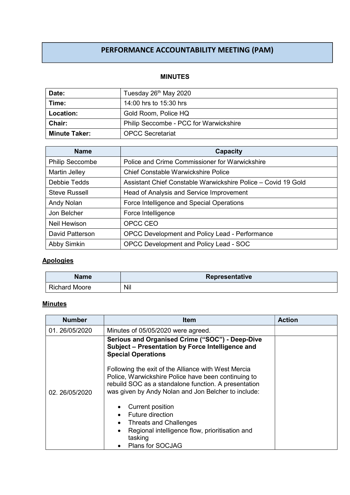# PERFORMANCE ACCOUNTABILITY MEETING (PAM)

#### MINUTES

| Date:                | Tuesday 26 <sup>th</sup> May 2020      |  |  |  |
|----------------------|----------------------------------------|--|--|--|
| Time:                | 14:00 hrs to 15:30 hrs                 |  |  |  |
| Location:            | Gold Room, Police HQ                   |  |  |  |
| <b>Chair:</b>        | Philip Seccombe - PCC for Warwickshire |  |  |  |
| <b>Minute Taker:</b> | <b>OPCC Secretariat</b>                |  |  |  |

| <b>Name</b>            | Capacity                                                      |  |  |  |
|------------------------|---------------------------------------------------------------|--|--|--|
| <b>Philip Seccombe</b> | Police and Crime Commissioner for Warwickshire                |  |  |  |
| Martin Jelley          | <b>Chief Constable Warwickshire Police</b>                    |  |  |  |
| Debbie Tedds           | Assistant Chief Constable Warwickshire Police - Covid 19 Gold |  |  |  |
| <b>Steve Russell</b>   | Head of Analysis and Service Improvement                      |  |  |  |
| Andy Nolan             | Force Intelligence and Special Operations                     |  |  |  |
| Jon Belcher            | Force Intelligence                                            |  |  |  |
| <b>Neil Hewison</b>    | OPCC CEO                                                      |  |  |  |
| David Patterson        | OPCC Development and Policy Lead - Performance                |  |  |  |
| Abby Simkin            | OPCC Development and Policy Lead - SOC                        |  |  |  |

### **Apologies**

| <b>Name</b>          | Representative |  |  |
|----------------------|----------------|--|--|
| <b>Richard Moore</b> | Nil            |  |  |

## **Minutes**

| <b>Number</b> | <b>Item</b>                                                                                                                                                                                                               | <b>Action</b> |
|---------------|---------------------------------------------------------------------------------------------------------------------------------------------------------------------------------------------------------------------------|---------------|
| 01.26/05/2020 | Minutes of 05/05/2020 were agreed.                                                                                                                                                                                        |               |
|               | Serious and Organised Crime ("SOC") - Deep-Dive<br>Subject - Presentation by Force Intelligence and<br><b>Special Operations</b>                                                                                          |               |
| 02.26/05/2020 | Following the exit of the Alliance with West Mercia<br>Police, Warwickshire Police have been continuing to<br>rebuild SOC as a standalone function. A presentation<br>was given by Andy Nolan and Jon Belcher to include: |               |
|               | Current position<br>Future direction<br><b>Threats and Challenges</b><br>$\bullet$<br>Regional intelligence flow, prioritisation and<br>$\bullet$<br>tasking<br>Plans for SOCJAG                                          |               |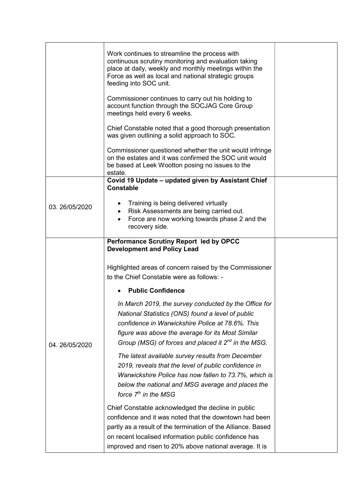|               | Work continues to streamline the process with<br>continuous scrutiny monitoring and evaluation taking<br>place at daily, weekly and monthly meetings within the<br>Force as well as local and national strategic groups<br>feeding into SOC unit.<br>Commissioner continues to carry out his holding to<br>account function through the SOCJAG Core Group |  |
|---------------|-----------------------------------------------------------------------------------------------------------------------------------------------------------------------------------------------------------------------------------------------------------------------------------------------------------------------------------------------------------|--|
|               | meetings held every 6 weeks.<br>Chief Constable noted that a good thorough presentation<br>was given outlining a solid approach to SOC.                                                                                                                                                                                                                   |  |
|               | Commissioner questioned whether the unit would infringe<br>on the estates and it was confirmed the SOC unit would<br>be based at Leek Wootton posing no issues to the<br>estate.                                                                                                                                                                          |  |
|               | Covid 19 Update - updated given by Assistant Chief<br><b>Constable</b>                                                                                                                                                                                                                                                                                    |  |
| 03.26/05/2020 | Training is being delivered virtually<br>Risk Assessments are being carried out.<br>$\bullet$<br>Force are now working towards phase 2 and the<br>$\bullet$<br>recovery side.                                                                                                                                                                             |  |
|               | <b>Performance Scrutiny Report led by OPCC</b><br><b>Development and Policy Lead</b>                                                                                                                                                                                                                                                                      |  |
|               | Highlighted areas of concern raised by the Commissioner<br>to the Chief Constable were as follows: -                                                                                                                                                                                                                                                      |  |
|               | <b>Public Confidence</b>                                                                                                                                                                                                                                                                                                                                  |  |
| 04.26/05/2020 | In March 2019, the survey conducted by the Office for<br>National Statistics (ONS) found a level of public<br>confidence in Warwickshire Police at 78.6%. This<br>figure was above the average for its Most Similar<br>Group (MSG) of forces and placed it $2^{nd}$ in the MSG.                                                                           |  |
|               | The latest available survey results from December<br>2019, reveals that the level of public confidence in<br>Warwickshire Police has now fallen to 73.7%, which is<br>below the national and MSG average and places the<br>force $7th$ in the MSG                                                                                                         |  |
|               | Chief Constable acknowledged the decline in public<br>confidence and it was noted that the downtown had been<br>partly as a result of the termination of the Alliance. Based<br>on recent localised information public confidence has<br>improved and risen to 20% above national average. It is                                                          |  |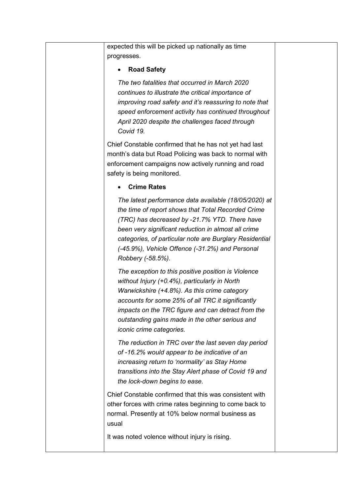| expected this will be picked up nationally as time<br>progresses.                                                                                                                                                                                                                                                                                      |  |
|--------------------------------------------------------------------------------------------------------------------------------------------------------------------------------------------------------------------------------------------------------------------------------------------------------------------------------------------------------|--|
| <b>Road Safety</b><br>٠                                                                                                                                                                                                                                                                                                                                |  |
| The two fatalities that occurred in March 2020<br>continues to illustrate the critical importance of<br>improving road safety and it's reassuring to note that<br>speed enforcement activity has continued throughout<br>April 2020 despite the challenges faced through<br>Covid 19.                                                                  |  |
| Chief Constable confirmed that he has not yet had last<br>month's data but Road Policing was back to normal with<br>enforcement campaigns now actively running and road<br>safety is being monitored.                                                                                                                                                  |  |
| <b>Crime Rates</b>                                                                                                                                                                                                                                                                                                                                     |  |
| The latest performance data available (18/05/2020) at<br>the time of report shows that Total Recorded Crime<br>(TRC) has decreased by -21.7% YTD. There have<br>been very significant reduction in almost all crime<br>categories, of particular note are Burglary Residential<br>(-45.9%), Vehicle Offence (-31.2%) and Personal<br>Robbery (-58.5%). |  |
| The exception to this positive position is Violence<br>without Injury (+0.4%), particularly in North<br>Warwickshire (+4.8%). As this crime category<br>accounts for some 25% of all TRC it significantly<br>impacts on the TRC figure and can detract from the<br>outstanding gains made in the other serious and<br>iconic crime categories.         |  |
| The reduction in TRC over the last seven day period<br>of -16.2% would appear to be indicative of an<br>increasing return to 'normality' as Stay Home<br>transitions into the Stay Alert phase of Covid 19 and<br>the lock-down begins to ease.                                                                                                        |  |
| Chief Constable confirmed that this was consistent with<br>other forces with crime rates beginning to come back to<br>normal. Presently at 10% below normal business as<br>usual                                                                                                                                                                       |  |
| It was noted volence without injury is rising.                                                                                                                                                                                                                                                                                                         |  |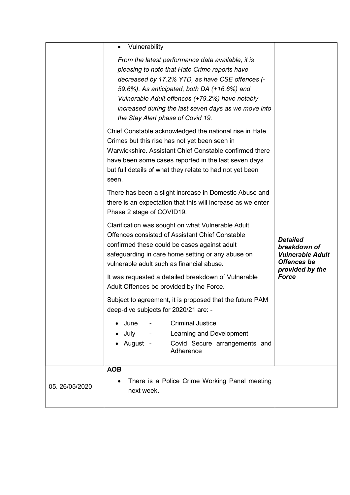|                | Vulnerability<br>From the latest performance data available, it is<br>pleasing to note that Hate Crime reports have<br>decreased by 17.2% YTD, as have CSE offences (-<br>59.6%). As anticipated, both DA (+16.6%) and<br>Vulnerable Adult offences (+79.2%) have notably<br>increased during the last seven days as we move into<br>the Stay Alert phase of Covid 19.<br>Chief Constable acknowledged the national rise in Hate<br>Crimes but this rise has not yet been seen in<br>Warwickshire. Assistant Chief Constable confirmed there<br>have been some cases reported in the last seven days<br>but full details of what they relate to had not yet been<br>seen.<br>There has been a slight increase in Domestic Abuse and<br>there is an expectation that this will increase as we enter<br>Phase 2 stage of COVID19.<br>Clarification was sought on what Vulnerable Adult<br>Offences consisted of Assistant Chief Constable<br>confirmed these could be cases against adult<br>safeguarding in care home setting or any abuse on<br>vulnerable adult such as financial abuse.<br>It was requested a detailed breakdown of Vulnerable<br>Adult Offences be provided by the Force.<br>Subject to agreement, it is proposed that the future PAM<br>deep-dive subjects for 2020/21 are: -<br><b>Criminal Justice</b><br>June<br>July -<br>Learning and Development<br>August -<br>Covid Secure arrangements and<br>Adherence<br><b>AOB</b> | <b>Detailed</b><br>breakdown of<br><b>Vulnerable Adult</b><br><b>Offences</b> be<br>provided by the<br><b>Force</b> |
|----------------|----------------------------------------------------------------------------------------------------------------------------------------------------------------------------------------------------------------------------------------------------------------------------------------------------------------------------------------------------------------------------------------------------------------------------------------------------------------------------------------------------------------------------------------------------------------------------------------------------------------------------------------------------------------------------------------------------------------------------------------------------------------------------------------------------------------------------------------------------------------------------------------------------------------------------------------------------------------------------------------------------------------------------------------------------------------------------------------------------------------------------------------------------------------------------------------------------------------------------------------------------------------------------------------------------------------------------------------------------------------------------------------------------------------------------------------------------|---------------------------------------------------------------------------------------------------------------------|
| 05. 26/05/2020 | There is a Police Crime Working Panel meeting<br>next week.                                                                                                                                                                                                                                                                                                                                                                                                                                                                                                                                                                                                                                                                                                                                                                                                                                                                                                                                                                                                                                                                                                                                                                                                                                                                                                                                                                                        |                                                                                                                     |